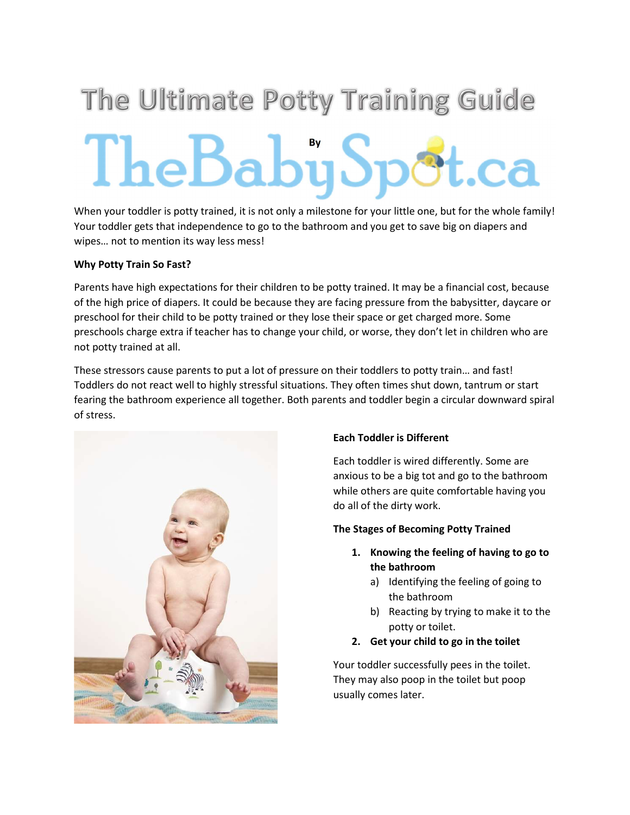# The Ultimate Potty Training Guide TheBabySpot.ca

When your toddler is potty trained, it is not only a milestone for your little one, but for the whole family! Your toddler gets that independence to go to the bathroom and you get to save big on diapers and wipes… not to mention its way less mess!

# Why Potty Train So Fast?

Parents have high expectations for their children to be potty trained. It may be a financial cost, because of the high price of diapers. It could be because they are facing pressure from the babysitter, daycare or preschool for their child to be potty trained or they lose their space or get charged more. Some preschools charge extra if teacher has to change your child, or worse, they don't let in children who are not potty trained at all.

These stressors cause parents to put a lot of pressure on their toddlers to potty train… and fast! Toddlers do not react well to highly stressful situations. They often times shut down, tantrum or start fearing the bathroom experience all together. Both parents and toddler begin a circular downward spiral of stress.



# Each Toddler is Different

Each toddler is wired differently. Some are anxious to be a big tot and go to the bathroom while others are quite comfortable having you do all of the dirty work.

# The Stages of Becoming Potty Trained

- 1. Knowing the feeling of having to go to the bathroom
	- a) Identifying the feeling of going to the bathroom
	- b) Reacting by trying to make it to the potty or toilet.
- 2. Get your child to go in the toilet

Your toddler successfully pees in the toilet. They may also poop in the toilet but poop usually comes later.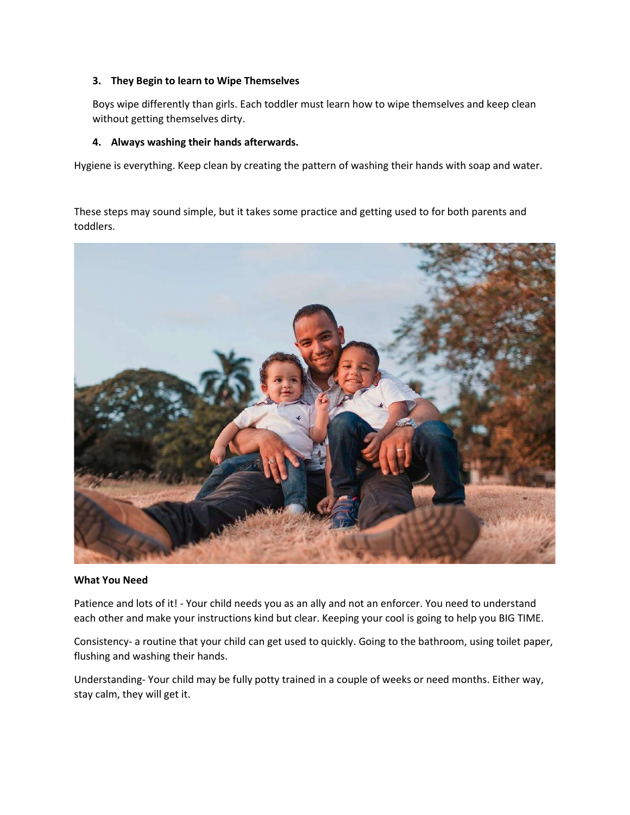## 3. They Begin to learn to Wipe Themselves

Boys wipe differently than girls. Each toddler must learn how to wipe themselves and keep clean without getting themselves dirty.

### 4. Always washing their hands afterwards.

Hygiene is everything. Keep clean by creating the pattern of washing their hands with soap and water.

These steps may sound simple, but it takes some practice and getting used to for both parents and toddlers.



#### What You Need

Patience and lots of it! - Your child needs you as an ally and not an enforcer. You need to understand each other and make your instructions kind but clear. Keeping your cool is going to help you BIG TIME.

Consistency- a routine that your child can get used to quickly. Going to the bathroom, using toilet paper, flushing and washing their hands.

Understanding- Your child may be fully potty trained in a couple of weeks or need months. Either way, stay calm, they will get it.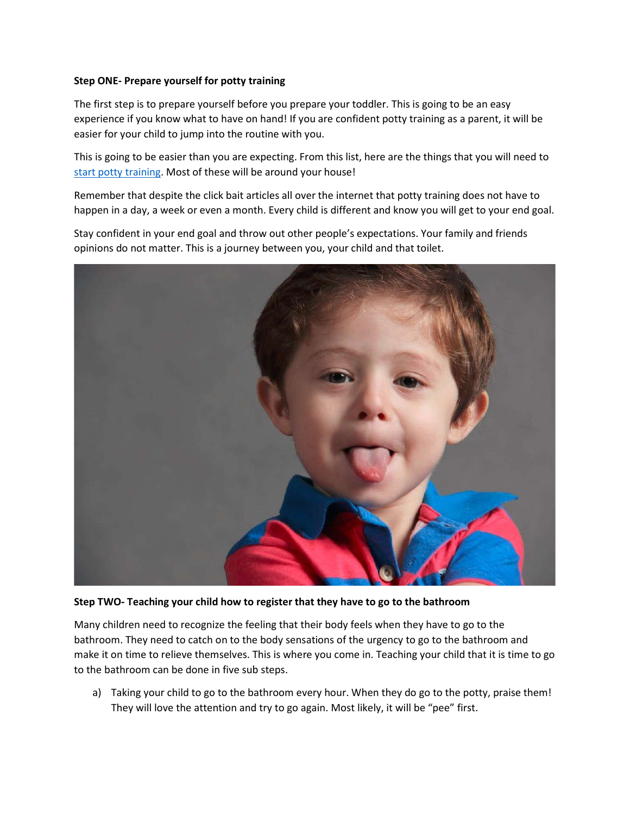## Step ONE- Prepare yourself for potty training

The first step is to prepare yourself before you prepare your toddler. This is going to be an easy experience if you know what to have on hand! If you are confident potty training as a parent, it will be easier for your child to jump into the routine with you.

This is going to be easier than you are expecting. From this list, here are the things that you will need to start potty training. Most of these will be around your house!

Remember that despite the click bait articles all over the internet that potty training does not have to happen in a day, a week or even a month. Every child is different and know you will get to your end goal.

Stay confident in your end goal and throw out other people's expectations. Your family and friends opinions do not matter. This is a journey between you, your child and that toilet.



Step TWO- Teaching your child how to register that they have to go to the bathroom

Many children need to recognize the feeling that their body feels when they have to go to the bathroom. They need to catch on to the body sensations of the urgency to go to the bathroom and make it on time to relieve themselves. This is where you come in. Teaching your child that it is time to go to the bathroom can be done in five sub steps.

a) Taking your child to go to the bathroom every hour. When they do go to the potty, praise them! They will love the attention and try to go again. Most likely, it will be "pee" first.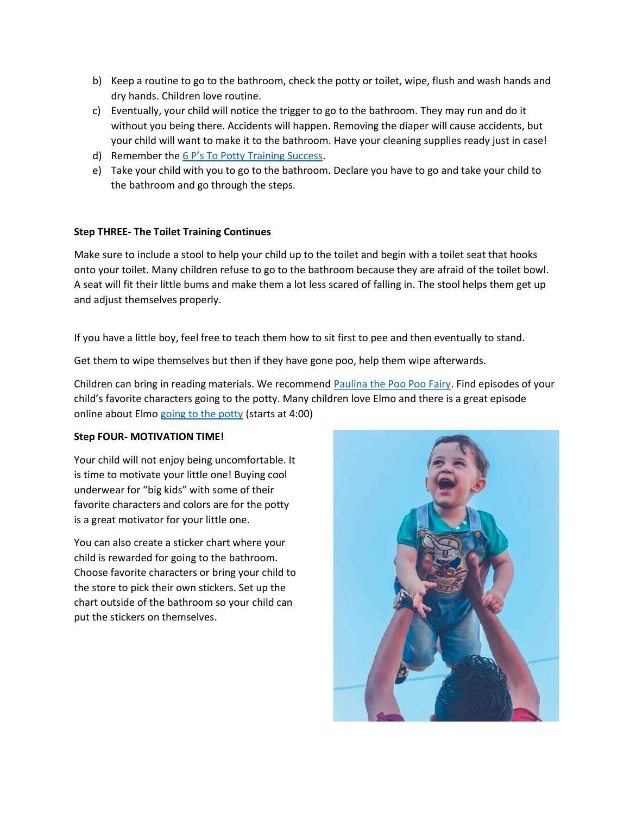- b) Keep a routine to go to the bathroom, check the potty or toilet, wipe, flush and wash hands and dry hands. Children love routine.
- c) Eventually, your child will notice the trigger to go to the bathroom. They may run and do it without you being there. Accidents will happen. Removing the diaper will cause accidents, but your child will want to make it to the bathroom. Have your cleaning supplies ready just in case!
- d) Remember the 6 P's To Potty Training Success.
- e) Take your child with you to go to the bathroom. Declare you have to go and take your child to the bathroom and go through the steps.

# Step THREE- The Toilet Training Continues

Make sure to include a stool to help your child up to the toilet and begin with a toilet seat that hooks onto your toilet. Many children refuse to go to the bathroom because they are afraid of the toilet bowl. A seat will fit their little bums and make them a lot less scared of falling in. The stool helps them get up and adjust themselves properly.

If you have a little boy, feel free to teach them how to sit first to pee and then eventually to stand.

Get them to wipe themselves but then if they have gone poo, help them wipe afterwards.

Children can bring in reading materials. We recommend Paulina the Poo Poo Fairy. Find episodes of your child's favorite characters going to the potty. Many children love Elmo and there is a great episode online about Elmo going to the potty (starts at 4:00)

## Step FOUR- MOTIVATION TIME!

Your child will not enjoy being uncomfortable. It is time to motivate your little one! Buying cool underwear for "big kids" with some of their favorite characters and colors are for the potty is a great motivator for your little one.

You can also create a sticker chart where your child is rewarded for going to the bathroom. Choose favorite characters or bring your child to the store to pick their own stickers. Set up the chart outside of the bathroom so your child can put the stickers on themselves.